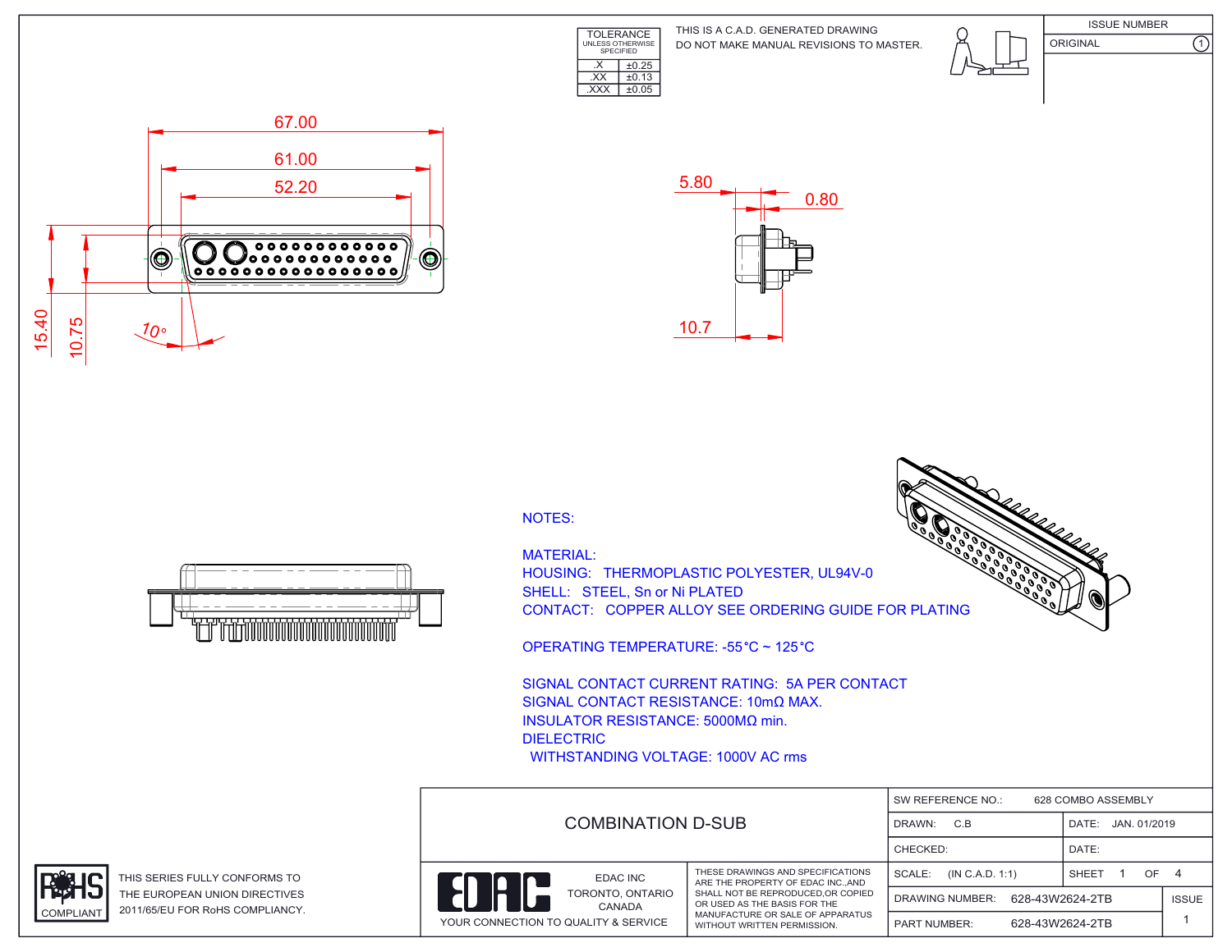

DO NOT MAKE MANUAL REVISIONS TO MASTER. THIS IS A C.A.D. GENERATED DRAWING



ISSUE NUMBER ORIGINAL (1)





NOTES:

MATERIAL:

HOUSING: THERMOPLASTIC POLYESTER, UL94V-0 SHELL: STEEL, Sn or Ni PLATED CONTACT: COPPER ALLOY SEE ORDERING GUIDE FOR PLATING

OPERATING TEMPERATURE: -55 °C ~ 125 °C

SIGNAL CONTACT CURRENT RATING: 5A PER CONTACT SIGNAL CONTACT RESISTANCE: 10mΩ MAX. INSULATOR RESISTANCE: 5000MΩ min. DIELECTRIC WITHSTANDING VOLTAGE: 1000V AC rms

|  |                                                                                                                                                                                    |                                           | SW REFERENCE NO.:                      | 628 COMBO ASSEMBLY | JAN. 01/2019<br>OF.<br>- 4<br><b>ISSUE</b> |
|--|------------------------------------------------------------------------------------------------------------------------------------------------------------------------------------|-------------------------------------------|----------------------------------------|--------------------|--------------------------------------------|
|  | <b>COMBINATION D-SUB</b>                                                                                                                                                           |                                           | DRAWN:<br>C.B                          | DATE:              |                                            |
|  |                                                                                                                                                                                    |                                           | CHECKED:                               | DATE:              |                                            |
|  | EDAC INC<br>ARE THE PROPERTY OF EDAC INCAND<br>SHALL NOT BE REPRODUCED.OR COPIED<br>TORONTO, ONTARIO<br>OR USED AS THE BASIS FOR THE<br>CANADA<br>MANUFACTURE OR SALE OF APPARATUS | THESE DRAWINGS AND SPECIFICATIONS         | SCALE:<br>(IN C.A.D. 1:1)              | SHEET              |                                            |
|  |                                                                                                                                                                                    | 628-43W2624-2TB<br><b>DRAWING NUMBER:</b> |                                        |                    |                                            |
|  | YOUR CONNECTION TO QUALITY & SERVICE                                                                                                                                               | WITHOUT WRITTEN PERMISSION.               | 628-43W2624-2TB<br><b>PART NUMBER:</b> |                    |                                            |





THIS SERIES FULLY CONFORMS TO THE EUROPEAN UNION DIRECTIVES COMPLIANT 2011/65/EU FOR RoHS COMPLIANCY.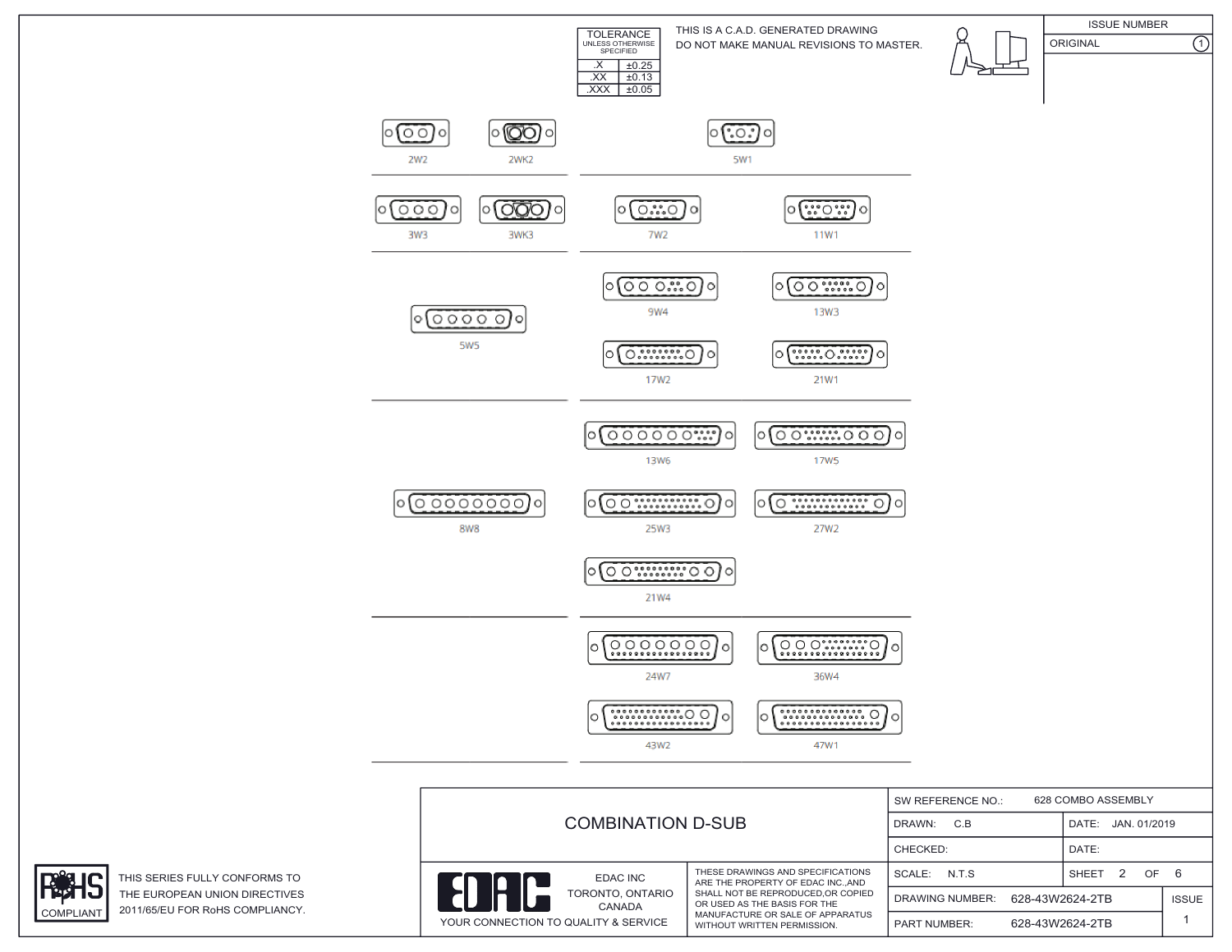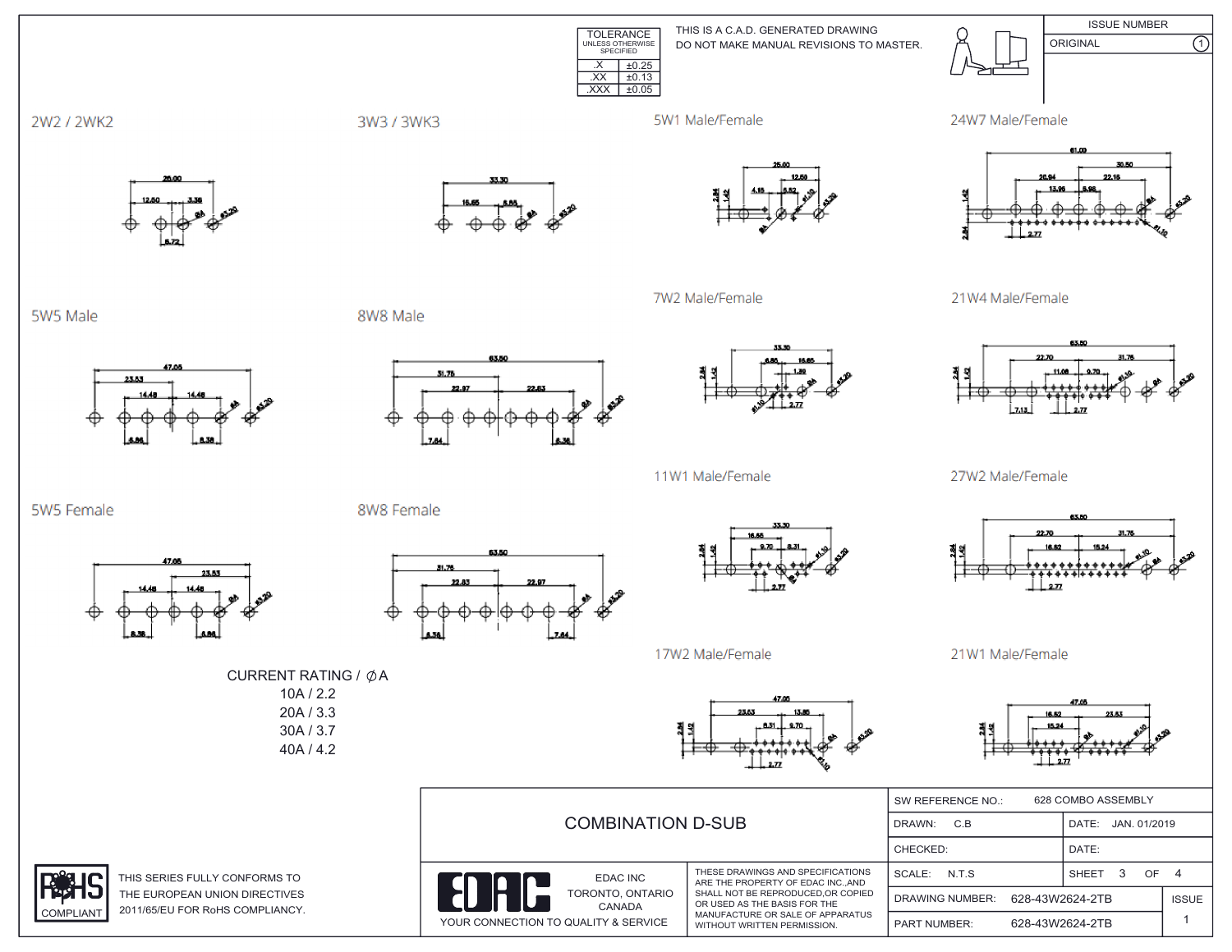TOLERANCE<br>
UNLESS OTHERWISE<br>
SPECIFIED THIS IS A C.A.D. GENERATED DRAWING DO NOT MAKE MANUAL REVISIONS TO MASTER.  $X \mid \pm 0.25$  $\overline{XX}$   $\pm 0.13$ 



2W2 / 2WK2

3W3 / 3WK3

5W1 Male/Female

7W2 Male/Female

 $\overline{XXX}$   $\pm 0.05$ 





 $\overline{\Omega}$ 

21W4 Male/Female



27W2 Male/Female



21W1 Male/Female

L 16.62 23.53

| 20A / 3.3<br>30A / 3.7<br>40A/4.2 | ------<br>23.53<br>13.85<br>23.53<br>16.62<br>$-831 + 870 -$<br>결의<br>붜킈<br>15.24<br><b>Brazil</b><br>مي .<br><del>,,,,,,</del><br>ਜ਼ਿ<br>⊢⊕ |                                                                                                                                       |                                           |                         |              |  |
|-----------------------------------|----------------------------------------------------------------------------------------------------------------------------------------------|---------------------------------------------------------------------------------------------------------------------------------------|-------------------------------------------|-------------------------|--------------|--|
|                                   | <b>COMBINATION D-SUB</b>                                                                                                                     |                                                                                                                                       | 628 COMBO ASSEMBLY<br>SW REFERENCE NO.:   |                         |              |  |
|                                   |                                                                                                                                              |                                                                                                                                       | C.B<br>DRAWN:                             | DATE:<br>JAN. 01/2019   |              |  |
|                                   |                                                                                                                                              |                                                                                                                                       | CHECKED:                                  | DATE:                   |              |  |
| RMS TO                            | <b>EDAC INC</b>                                                                                                                              | THESE DRAWINGS AND SPECIFICATIONS<br>ARE THE PROPERTY OF EDAC INC., AND                                                               | N.T.S<br>SCALE:                           | OF<br><b>SHEET</b><br>3 | - 4          |  |
| <b>ECTIVES</b><br>PLIANCY.        | TORONTO, ONTARIO<br>CANADA<br>YOUR CONNECTION TO QUALITY & SERVICE                                                                           | SHALL NOT BE REPRODUCED, OR COPIED<br>OR USED AS THE BASIS FOR THE<br>MANUFACTURE OR SALE OF APPARATUS<br>WITHOUT WRITTEN PERMISSION. | 628-43W2624-2TB<br><b>DRAWING NUMBER:</b> |                         | <b>ISSUE</b> |  |
|                                   |                                                                                                                                              |                                                                                                                                       | 628-43W2624-2TB<br><b>PART NUMBER:</b>    |                         |              |  |

5W5 Male

5W5 Female



23.53

CURRENT RATING / ØA  $10A / 2.2$ 

8W8 Male

8W8 Female

31.76



53.50



11W1 Male/Female



17W2 Male/Female

THIS SERIES FULLY CONFO THE EUROPEAN UNION DIRI 2011/65/EU FOR RoHS COM **COMPLIANT**